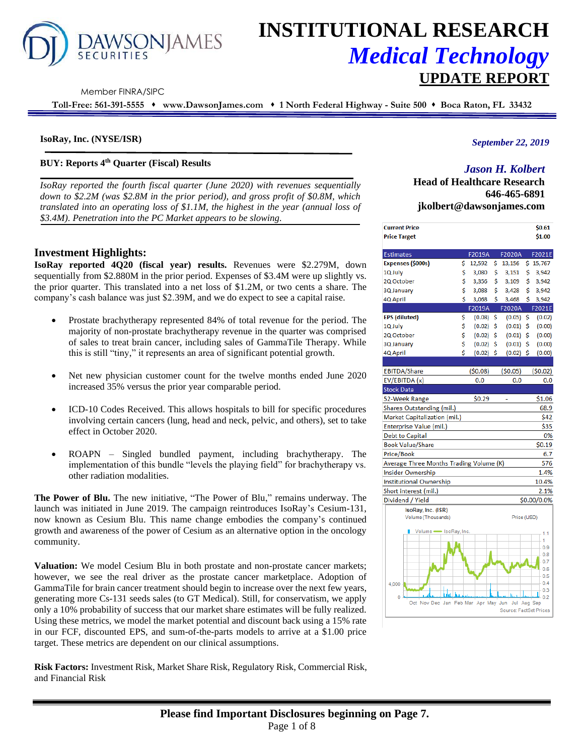

# **INSTITUTIONAL RESEARCH** *Medical Technology* **UPDATE REPORT**

Member FINRA/SIPC

**Toll-Free: 561-391-5555** ⬧ **www.DawsonJames.com** ⬧ **1 North Federal Highway - Suite 500** ⬧ **Boca Raton, FL 33432**

# **IsoRay, Inc. (NYSE/ISR)**

# **BUY: Reports 4th Quarter (Fiscal) Results**

*IsoRay reported the fourth fiscal quarter (June 2020) with revenues sequentially down to \$2.2M (was \$2.8M in the prior period), and gross profit of \$0.8M, which translated into an operating loss of \$1.1M, the highest in the year (annual loss of \$3.4M). Penetration into the PC Market appears to be slowing.*

# **Investment Highlights:**

**IsoRay reported 4Q20 (fiscal year) results.** Revenues were \$2.279M, down sequentially from \$2.880M in the prior period. Expenses of \$3.4M were up slightly vs. the prior quarter. This translated into a net loss of \$1.2M, or two cents a share. The company's cash balance was just \$2.39M, and we do expect to see a capital raise.

- Prostate brachytherapy represented 84% of total revenue for the period. The majority of non-prostate brachytherapy revenue in the quarter was comprised of sales to treat brain cancer, including sales of GammaTile Therapy. While this is still "tiny," it represents an area of significant potential growth.
- Net new physician customer count for the twelve months ended June 2020 increased 35% versus the prior year comparable period.
- ICD-10 Codes Received. This allows hospitals to bill for specific procedures involving certain cancers (lung, head and neck, pelvic, and others), set to take effect in October 2020.
- ROAPN Singled bundled payment, including brachytherapy. The implementation of this bundle "levels the playing field" for brachytherapy vs. other radiation modalities.

**The Power of Blu.** The new initiative, "The Power of Blu," remains underway. The launch was initiated in June 2019. The campaign reintroduces IsoRay's Cesium-131, now known as Cesium Blu. This name change embodies the company's continued growth and awareness of the power of Cesium as an alternative option in the oncology community.

**Valuation:** We model Cesium Blu in both prostate and non-prostate cancer markets; however, we see the real driver as the prostate cancer marketplace. Adoption of GammaTile for brain cancer treatment should begin to increase over the next few years, generating more Cs-131 seeds sales (to GT Medical). Still, for conservatism, we apply only a 10% probability of success that our market share estimates will be fully realized. Using these metrics, we model the market potential and discount back using a 15% rate in our FCF, discounted EPS, and sum-of-the-parts models to arrive at a \$1.00 price target. These metrics are dependent on our clinical assumptions.

**Risk Factors:** Investment Risk, Market Share Risk, Regulatory Risk, Commercial Risk, and Financial Risk

# *September 22, 2019*

# *Jason H. Kolbert*

**Head of Healthcare Research 646-465-6891 jkolbert@dawsonjames.com**

| <b>Current Price</b><br><b>Price Target</b>          |    |         |     |                        |    | \$0.61<br>\$1.00 |
|------------------------------------------------------|----|---------|-----|------------------------|----|------------------|
|                                                      |    |         |     |                        |    |                  |
| <b>Estimates</b>                                     |    | F2019A  |     | F2020A                 |    | F2021E           |
| Expenses (\$000s)                                    | \$ | 12,592  | \$. | 13,156                 |    | \$15,767         |
| 1Q July                                              | \$ | 3,080   | \$  | 3,151                  | \$ | 3,942            |
| 2Q October                                           | Ś  | 3,356   | Ś   | 3,109                  | \$ | 3,942            |
| 3Q January                                           | \$ | 3,088   | \$  | 3,428                  | \$ | 3,942            |
| 4Q April                                             | Ś  | 3,068   | Ś   | 3,468                  | Ś  | 3,942            |
|                                                      |    | F2019A  |     | F2020A                 |    | F2021E           |
| <b>EPS</b> (diluted)                                 | \$ | (0.08)  | \$  | (0.05)                 | \$ | (0.02)           |
| 1Q July                                              | \$ | (0.02)  | \$  | (0.01)                 | \$ | (0.00)           |
| 2Q October                                           | \$ | (0.02)  | \$  | (0.01)                 | \$ | (0.00)           |
| 3Q January                                           | \$ | (0.02)  | \$  | (0.01)                 | \$ | (0.00)           |
| 4Q April                                             | Ś  | (0.02)  | \$  | (0.02)                 | \$ | (0.00)           |
|                                                      |    |         |     |                        |    |                  |
| <b>EBITDA/Share</b>                                  |    | (50.08) |     | (50.05)                |    | (50.02)          |
| EV/EBITDA (x)                                        |    | 0.0     |     | 0.0                    |    | 0.0              |
| <b>Stock Data</b>                                    |    |         |     |                        |    |                  |
| 52-Week Range                                        |    | \$0.29  |     |                        |    | \$1.06           |
| Shares Outstanding (mil.)                            |    |         |     |                        |    | 68.9             |
| Market Capitalization (mil.)                         |    |         |     |                        |    | \$42             |
| Enterprise Value (mil.)                              |    |         |     |                        |    | \$35             |
| <b>Debt to Capital</b>                               |    |         |     |                        |    | 0%               |
| <b>Book Value/Share</b>                              |    |         |     |                        |    | \$0.19           |
| Price/Book                                           |    |         |     |                        |    | 6.7              |
| Average Three Months Trading Volume (K)              |    |         |     |                        |    | 576              |
| <b>Insider Ownership</b>                             |    |         |     |                        |    | 1.4%             |
| <b>Institutional Ownership</b>                       |    |         |     |                        |    | 10.4%            |
| Short interest (mil.)                                |    |         |     |                        |    | 2.1%             |
| Dividend / Yield                                     |    |         |     |                        |    | \$0.00/0.0%      |
| IsoRay, Inc. (ISR)                                   |    |         |     |                        |    |                  |
| Volume (Thousands)                                   |    |         |     | Price (USD)            |    |                  |
| Volume SoRay, Inc.                                   |    |         |     |                        |    | 1.1<br>1         |
|                                                      |    |         |     |                        |    | 0.9              |
|                                                      |    |         |     |                        |    | 0.8              |
|                                                      |    |         |     |                        |    | 0.7<br>0.6       |
|                                                      |    |         |     |                        |    | 0.5              |
| 4,000                                                |    |         |     |                        |    | 0.4              |
|                                                      |    |         |     |                        |    | 0.3              |
| 0<br>Oct Nov Dec Jan Feb Mar Apr May Jun Jul Aug Sep |    |         |     |                        |    | 0.2              |
|                                                      |    |         |     | Source: EactSet Prices |    |                  |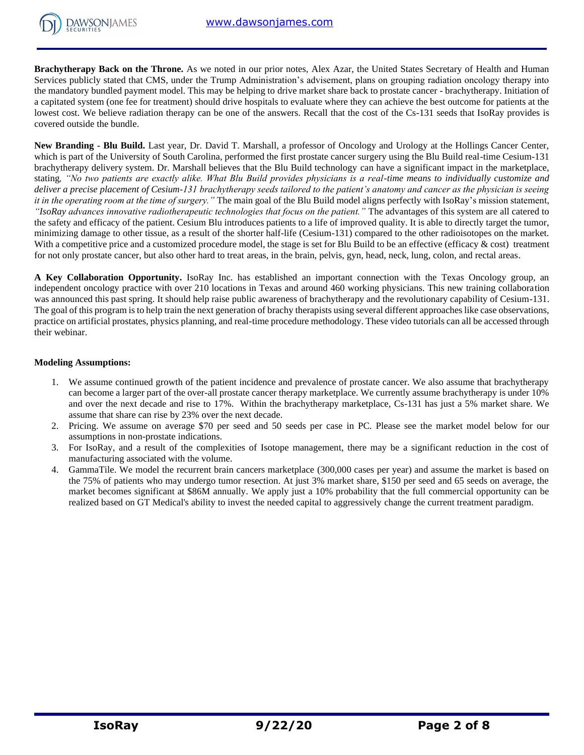

**Brachytherapy Back on the Throne.** As we noted in our prior notes, Alex Azar, the United States Secretary of Health and Human Services publicly stated that CMS, under the Trump Administration's advisement, plans on grouping radiation oncology therapy into the mandatory bundled payment model. This may be helping to drive market share back to prostate cancer - brachytherapy. Initiation of a capitated system (one fee for treatment) should drive hospitals to evaluate where they can achieve the best outcome for patients at the lowest cost. We believe radiation therapy can be one of the answers. Recall that the cost of the Cs-131 seeds that IsoRay provides is covered outside the bundle.

**New Branding - Blu Build.** Last year, Dr. David T. Marshall, a professor of Oncology and Urology at the Hollings Cancer Center, which is part of the University of South Carolina, performed the first prostate cancer surgery using the Blu Build real-time Cesium-131 brachytherapy delivery system. Dr. Marshall believes that the Blu Build technology can have a significant impact in the marketplace, stating*, "No two patients are exactly alike. What Blu Build provides physicians is a real-time means to individually customize and deliver a precise placement of Cesium-131 brachytherapy seeds tailored to the patient's anatomy and cancer as the physician is seeing it in the operating room at the time of surgery."* The main goal of the Blu Build model aligns perfectly with IsoRay's mission statement, *"IsoRay advances innovative radiotherapeutic technologies that focus on the patient."* The advantages of this system are all catered to the safety and efficacy of the patient. Cesium Blu introduces patients to a life of improved quality. It is able to directly target the tumor, minimizing damage to other tissue, as a result of the shorter half-life (Cesium-131) compared to the other radioisotopes on the market. With a competitive price and a customized procedure model, the stage is set for Blu Build to be an effective (efficacy  $\&$  cost) treatment for not only prostate cancer, but also other hard to treat areas, in the brain, pelvis, gyn, head, neck, lung, colon, and rectal areas.

**A Key Collaboration Opportunity.** IsoRay Inc. has established an important connection with the Texas Oncology group, an independent oncology practice with over 210 locations in Texas and around 460 working physicians. This new training collaboration was announced this past spring. It should help raise public awareness of brachytherapy and the revolutionary capability of Cesium-131. The goal of this program is to help train the next generation of brachy therapists using several different approaches like case observations, practice on artificial prostates, physics planning, and real-time procedure methodology. These video tutorials can all be accessed through their webinar.

# **Modeling Assumptions:**

- 1. We assume continued growth of the patient incidence and prevalence of prostate cancer. We also assume that brachytherapy can become a larger part of the over-all prostate cancer therapy marketplace. We currently assume brachytherapy is under 10% and over the next decade and rise to 17%. Within the brachytherapy marketplace, Cs-131 has just a 5% market share. We assume that share can rise by 23% over the next decade.
- 2. Pricing. We assume on average \$70 per seed and 50 seeds per case in PC. Please see the market model below for our assumptions in non-prostate indications.
- 3. For IsoRay, and a result of the complexities of Isotope management, there may be a significant reduction in the cost of manufacturing associated with the volume.
- 4. GammaTile. We model the recurrent brain cancers marketplace (300,000 cases per year) and assume the market is based on the 75% of patients who may undergo tumor resection. At just 3% market share, \$150 per seed and 65 seeds on average, the market becomes significant at \$86M annually. We apply just a 10% probability that the full commercial opportunity can be realized based on GT Medical's ability to invest the needed capital to aggressively change the current treatment paradigm.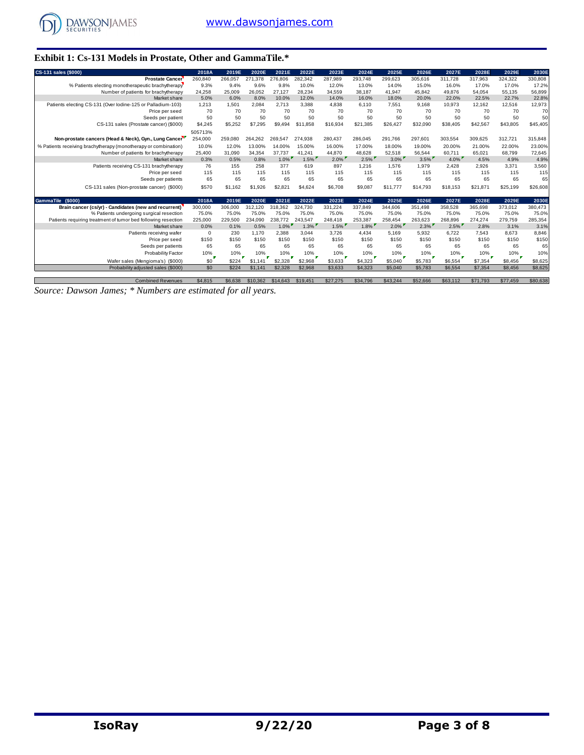

# **Exhibit 1: Cs-131 Models in Prostate, Other and GammaTile.\***

| CS-131 sales (\$000)                                            | 2018A    | 2019E   | 2020E    | 2021E    | 2022E    | 2023E    | 2024E    | 2025E    | 2026E    | 2027E    | 2028E    | 2029E    | 2030E    |
|-----------------------------------------------------------------|----------|---------|----------|----------|----------|----------|----------|----------|----------|----------|----------|----------|----------|
| <b>Prostate Cancer</b>                                          | 260,840  | 266,057 | 271,378  | 276,806  | 282,342  | 287,989  | 293,748  | 299,623  | 305,616  | 311,728  | 317,963  | 324,322  | 330,808  |
| % Patients electing monotherapeutic brachytherapy               | 9.3%     | 9.4%    | 9.6%     | 9.8%     | 10.0%    | 12.0%    | 13.0%    | 14.0%    | 15.0%    | 16.0%    | 17.0%    | 17.0%    | 17.2%    |
| Number of patients for brachytherapy                            | 24,258   | 25,009  | 26.052   | 27.127   | 28.234   | 34,559   | 38,187   | 41,947   | 45,842   | 49.876   | 54.054   | 55.135   | 56,899   |
| Market share                                                    | 5.0%     | 6.0%    | 8.0%     | 10.0%    | 12.0%    | 14.0%    | 16.0%    | 18.0%    | 20.0%    | 22.0%    | 22.5%    | 22.7%    | 22.8%    |
| Patients electing CS-131 (Over lodine-125 or Palladium-103)     | 1.213    | 1.501   | 2.084    | 2.713    | 3.388    | 4.838    | 6.110    | 7.551    | 9.168    | 10.973   | 12,162   | 12.516   | 12,973   |
| Price per seed                                                  | 70       | 70      | 70       | 70       | 70       | 70       | 70       | 70       | 70       | 70       | 70       | 70       | 70       |
| Seeds per patient                                               | 50       | 50      | 50       | 50       | 50       | 50       | 50       | 50       | 50       | 50       | 50       | 50       | 50       |
| CS-131 sales (Prostate cancer) (\$000)                          | \$4,245  | \$5.252 | \$7,295  | \$9,494  | \$11,858 | \$16,934 | \$21.385 | \$26,427 | \$32,090 | \$38,405 | \$42,567 | \$43,805 | \$45,405 |
|                                                                 | 505713%  |         |          |          |          |          |          |          |          |          |          |          |          |
| Non-prostate cancers (Head & Neck), Gyn., Lung Cancer           | 254,000  | 259.080 | 264,262  | 269,547  | 274,938  | 280,437  | 286,045  | 291,766  | 297,601  | 303,554  | 309,625  | 312,721  | 315,848  |
| % Patients receiving brachytherapy (monotherapy or combination) | 10.0%    | 12.0%   | 13.00%   | 14.00%   | 15.00%   | 16.00%   | 17.00%   | 18.00%   | 19.00%   | 20.00%   | 21.00%   | 22.00%   | 23.00%   |
| Number of patients for brachytherapy                            | 25,400   | 31.090  | 34,354   | 37.737   | 41.241   | 44,870   | 48.628   | 52,518   | 56.544   | 60.711   | 65,021   | 68,799   | 72,645   |
| Market share                                                    | 0.3%     | 0.5%    | 0.8%     | $1.0\%$  | $1.5\%$  | $2.0\%$  | $2.5\%$  | $3.0\%$  | $3.5\%$  | $4.0\%$  | 4.5%     | 4.9%     | 4.9%     |
| Patients receiving CS-131 brachytherapy                         | 76       | 155     | 258      | 377      | 619      | 897      | 1.216    | 1.576    | 1.979    | 2.428    | 2.926    | 3.371    | 3,560    |
| Price per seed                                                  | 115      | 115     | 115      | 115      | 115      | 115      | 115      | 115      | 115      | 115      | 115      | 115      | 115      |
| Seeds per patients                                              | 65       | 65      | 65       | 65       | 65       | 65       | 65       | 65       | 65       | 65       | 65       | 65       | 65       |
| CS-131 sales (Non-prostate cancer) (\$000)                      | \$570    | \$1,162 | \$1,926  | \$2,821  | \$4,624  | \$6,708  | \$9,087  | \$11,777 | \$14,793 | \$18,153 | \$21,871 | \$25,199 | \$26,608 |
|                                                                 |          |         |          |          |          |          |          |          |          |          |          |          |          |
| GammaTile (\$000)                                               | 2018A    | 2019E   | 2020E    | 2021E    | 2022E    | 2023E    | 2024E    | 2025E    | 2026E    | 2027E    | 2028E    | 2029E    | 2030E    |
| Brain cancer (cs/yr) - Candidates (new and recurrent)           | 300,000  | 306,000 | 312,120  | 318,362  | 324,730  | 331,224  | 337,849  | 344,606  | 351,498  | 358,528  | 365,698  | 373,012  | 380,473  |
| % Patients undergoing surgical resection                        | 75.0%    | 75.0%   | 75.0%    | 75.0%    | 75.0%    | 75.0%    | 75.0%    | 75.0%    | 75.0%    | 75.0%    | 75.0%    | 75.0%    | 75.0%    |
| Patients requiring treatment of tumor bed following resection   | 225,000  | 229,500 | 234,090  | 238,772  | 243.547  | 248.418  | 253.387  | 258,454  | 263,623  | 268.896  | 274,274  | 279,759  | 285,354  |
| Market share                                                    | 0.0%     | 0.1%    | 0.5%     | $1.0\%$  | $1.3\%$  | 1.5%     | $1.8\%$  | $2.0\%$  | $2.3\%$  | $2.5\%$  | 2.8%     | 3.1%     | 3.1%     |
| Patients receiving wafer                                        | $\Omega$ | 230     | 1.170    | 2.388    | 3.044    | 3.726    | 4.434    | 5.169    | 5.932    | 6.722    | 7.543    | 8.673    | 8,846    |
| Price per seed                                                  | \$150    | \$150   | \$150    | \$150    | \$150    | \$150    | \$150    | \$150    | \$150    | \$150    | \$150    | \$150    | \$150    |
| Seeds per patients                                              | 65       | 65      | 65       | 65       | 65       | 65       | 65       | 65       | 65       | 65       | 65       | 65       | 65       |
| Probability Factor                                              | 10%      | 10%     | 10%      | 10%      | 10%      | 10%      | 10%      | 10%      | 10%      | 10%      | 10%      | 10%      | 10%      |
| Wafer sales (Mengioma's) (\$000)                                | \$0      | \$224   | \$1,141  | \$2,328  | \$2,968  | \$3,633  | \$4,323  | \$5,040  | \$5,783  | \$6,554  | \$7,354  | \$8,456  | \$8,625  |
| Probability adjusted sales (\$000)                              | \$0      | \$224   | \$1,141  | \$2,328  | \$2,968  | \$3,633  | \$4,323  | \$5,040  | \$5,783  | \$6,554  | \$7,354  | \$8,456  | \$8,625  |
|                                                                 |          |         |          |          |          |          |          |          |          |          |          |          |          |
| <b>Combined Revenues</b>                                        | \$4,815  | \$6,638 | \$10,362 | \$14,643 | \$19,451 | \$27,275 | \$34,796 | \$43,244 | \$52,666 | \$63,112 | \$71,793 | \$77,459 | \$80,638 |

*Source: Dawson James; \* Numbers are estimated for all years.*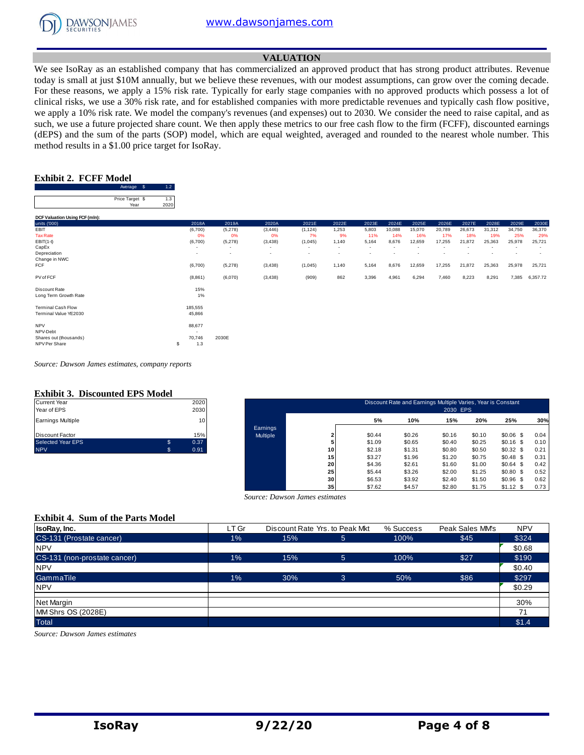

#### **VALUATION**

We see IsoRay as an established company that has commercialized an approved product that has strong product attributes. Revenue today is small at just \$10M annually, but we believe these revenues, with our modest assumptions, can grow over the coming decade. For these reasons, we apply a 15% risk rate. Typically for early stage companies with no approved products which possess a lot of clinical risks, we use a 30% risk rate, and for established companies with more predictable revenues and typically cash flow positive, we apply a 10% risk rate. We model the company's revenues (and expenses) out to 2030. We consider the need to raise capital, and as such, we use a future projected share count. We then apply these metrics to our free cash flow to the firm (FCFF), discounted earnings (dEPS) and the sum of the parts (SOP) model, which are equal weighted, averaged and rounded to the nearest whole number. This method results in a \$1.00 price target for IsoRay.

#### **Exhibit 2. FCFF Model**

 $1.2<sub>2</sub>$ 

|                                                                   | Average<br>- \$         | 1.2         |                          |                          |          |                          |                          |                          |                          |        |        |        |                          |        |                          |
|-------------------------------------------------------------------|-------------------------|-------------|--------------------------|--------------------------|----------|--------------------------|--------------------------|--------------------------|--------------------------|--------|--------|--------|--------------------------|--------|--------------------------|
|                                                                   | Price Target \$<br>Year | 1.3<br>2020 |                          |                          |          |                          |                          |                          |                          |        |        |        |                          |        |                          |
| DCF Valuation Using FCF (mln):                                    |                         |             |                          |                          |          |                          |                          |                          |                          |        |        |        |                          |        |                          |
| units ('000)                                                      |                         |             | 2018A                    | 2019A                    | 2020A    | 2021E                    | 2022E                    | 2023E                    | 2024E                    | 2025E  | 2026E  | 2027E  | 2028E                    | 2029E  | 2030E                    |
| EBIT                                                              |                         |             | (6,700)                  | (5,278)                  | (3, 446) | (1, 124)                 | 1,253                    | 5,803                    | 10,088                   | 15,070 | 20,789 | 26,673 | 31,312                   | 34,750 | 36,370                   |
| <b>Tax Rate</b>                                                   |                         |             | 0%                       | 0%                       | 0%       | 7%                       | 9%                       | 11%                      | 14%                      | 16%    | 17%    | 18%    | 19%                      | 25%    | 29%                      |
| $EBIT(1-t)$                                                       |                         |             | (6,700)                  | (5,278)                  | (3, 438) | (1,045)                  | 1,140                    | 5,164                    | 8,676                    | 12,659 | 17,255 | 21,872 | 25,363                   | 25,978 | 25,721                   |
| CapEx                                                             |                         |             | $\overline{\phantom{a}}$ | $\overline{\phantom{a}}$ | $\sim$   | $\sim$                   | $\sim$                   | $\sim$                   | $\overline{\phantom{a}}$ |        |        |        | $\overline{\phantom{a}}$ |        | $\overline{\phantom{a}}$ |
| Depreciation                                                      |                         |             | $\sim$                   | $\overline{\phantom{a}}$ | $\sim$   | $\overline{\phantom{a}}$ | $\overline{\phantom{a}}$ | $\overline{\phantom{a}}$ |                          |        |        |        |                          |        | $\overline{\phantom{a}}$ |
| Change in NWC                                                     |                         |             |                          |                          |          |                          |                          |                          |                          |        |        |        |                          |        |                          |
| <b>FCF</b>                                                        |                         |             | (6,700)                  | (5,278)                  | (3, 438) | (1,045)                  | 1,140                    | 5,164                    | 8,676                    | 12,659 | 17,255 | 21,872 | 25,363                   | 25,978 | 25,721                   |
| PV of FCF                                                         |                         |             | (8,861)                  | (6,070)                  | (3, 438) | (909)                    | 862                      | 3,396                    | 4,961                    | 6,294  | 7,460  | 8,223  | 8,291                    | 7,385  | 6,357.72                 |
| Discount Rate<br>Long Term Growth Rate                            |                         |             | 15%<br>1%                |                          |          |                          |                          |                          |                          |        |        |        |                          |        |                          |
| <b>Terminal Cash Flow</b>                                         |                         |             | 185,555                  |                          |          |                          |                          |                          |                          |        |        |        |                          |        |                          |
| Terminal Value YE2030                                             |                         |             | 45,866                   |                          |          |                          |                          |                          |                          |        |        |        |                          |        |                          |
| <b>NPV</b><br>NPV-Debt<br>Shares out (thousands)<br>NPV Per Share |                         | S           | 88,677<br>70,746<br>1.3  | 2030E                    |          |                          |                          |                          |                          |        |        |        |                          |        |                          |

*Source: Dawson James estimates, company reports*

# **Exhibit 3. Discounted EPS Model**

| <b>Current Year</b>      | 2020       |
|--------------------------|------------|
| Year of EPS              | 2030       |
| <b>Earnings Multiple</b> | 10         |
| Discount Factor          | 15%        |
| <b>Selected Year EPS</b> | \$<br>0.37 |
| <b>NPV</b>               | 0.91       |

| Current Year<br>Year of EPS |                | 2020<br>2030    |          |                 |        | Discount Rate and Earnings Multiple Varies, Year is Constant | 2030 EPS |        |             |      |
|-----------------------------|----------------|-----------------|----------|-----------------|--------|--------------------------------------------------------------|----------|--------|-------------|------|
| Earnings Multiple           |                | 10 <sup>1</sup> |          |                 | 5%     | 10%                                                          | 15%      | 20%    | 25%         | 30%  |
|                             |                |                 | Earnings |                 |        |                                                              |          |        |             |      |
| Discount Factor             |                | 15%             | Multiple |                 | \$0.44 | \$0.26                                                       | \$0.16   | \$0.10 | $$0.06$$ \$ | 0.04 |
| Selected Year EPS           | $\mathfrak{s}$ | 0.37            |          |                 | \$1.09 | \$0.65                                                       | \$0.40   | \$0.25 | $$0.16$ \$  | 0.10 |
| <b>NPV</b>                  | .S             | 0.91            |          | 10              | \$2.18 | \$1.31                                                       | \$0.80   | \$0.50 | $$0.32$$ \$ | 0.21 |
|                             |                |                 |          | 15              | \$3.27 | \$1.96                                                       | \$1.20   | \$0.75 | $$0.48$ \$  | 0.31 |
|                             |                |                 |          | 20              | \$4.36 | \$2.61                                                       | \$1.60   | \$1.00 | \$0.64\$    | 0.42 |
|                             |                |                 |          | 25              | \$5.44 | \$3.26                                                       | \$2.00   | \$1.25 | $$0.80$$ \$ | 0.52 |
|                             |                |                 |          | 30              | \$6.53 | \$3.92                                                       | \$2.40   | \$1.50 | $$0.96$ \$  | 0.62 |
|                             |                |                 |          | 35 <sub>1</sub> | \$7.62 | \$4.57                                                       | \$2.80   | \$1.75 | $$1.12$ \$  | 0.73 |

#### **Exhibit 4. Sum of the Parts Model**

|                                          |       |                                |                                | .         | -----<br>.      |            |
|------------------------------------------|-------|--------------------------------|--------------------------------|-----------|-----------------|------------|
|                                          |       | Source: Dawson James estimates |                                |           |                 |            |
| <b>Exhibit 4. Sum of the Parts Model</b> |       |                                |                                |           |                 |            |
| IsoRay, Inc.                             | LT Gr |                                | Discount Rate Yrs. to Peak Mkt | % Success | Peak Sales MM's | <b>NPV</b> |
| CS-131 (Prostate cancer)                 | 1%    | 15%                            | 5                              | 100%      | \$45            | \$324      |
| <b>NPV</b>                               |       |                                |                                |           |                 | \$0.68     |
| CS-131 (non-prostate cancer)             | 1%    | 15%                            | 5                              | 100%      | \$27            | \$190      |
| <b>NPV</b>                               |       |                                |                                |           |                 | \$0.40     |
| GammaTile                                | 1%    | 30%                            | 3                              | 50%       | \$86            | \$297      |
| <b>NPV</b>                               |       |                                |                                |           |                 | \$0.29     |
| Net Margin                               |       |                                |                                |           |                 | 30%        |
| MM Shrs OS (2028E)                       |       |                                |                                |           |                 | 71         |
| <b>Total</b>                             |       |                                |                                |           |                 | \$1.4      |

*Source: Dawson James estimates*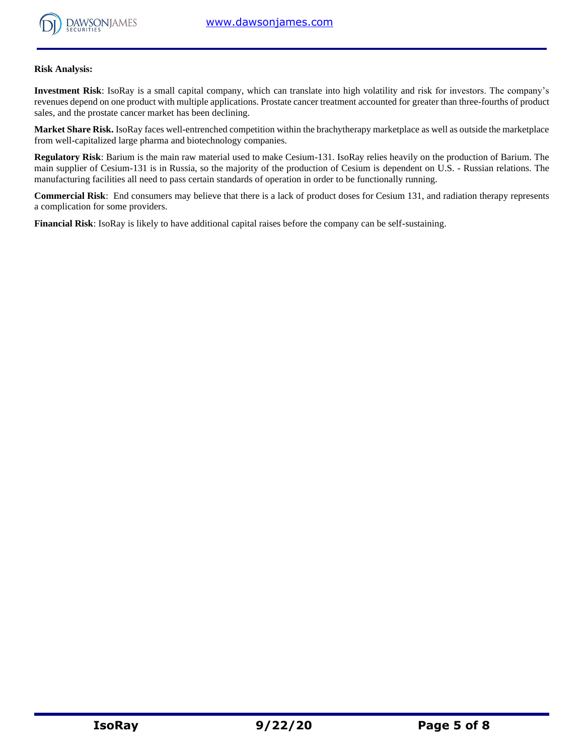

#### **Risk Analysis:**

**Investment Risk**: IsoRay is a small capital company, which can translate into high volatility and risk for investors. The company's revenues depend on one product with multiple applications. Prostate cancer treatment accounted for greater than three-fourths of product sales, and the prostate cancer market has been declining.

**Market Share Risk.** IsoRay faces well-entrenched competition within the brachytherapy marketplace as well as outside the marketplace from well-capitalized large pharma and biotechnology companies.

**Regulatory Risk**: Barium is the main raw material used to make Cesium-131. IsoRay relies heavily on the production of Barium. The main supplier of Cesium-131 is in Russia, so the majority of the production of Cesium is dependent on U.S. - Russian relations. The manufacturing facilities all need to pass certain standards of operation in order to be functionally running.

**Commercial Risk**: End consumers may believe that there is a lack of product doses for Cesium 131, and radiation therapy represents a complication for some providers.

**Financial Risk**: IsoRay is likely to have additional capital raises before the company can be self-sustaining.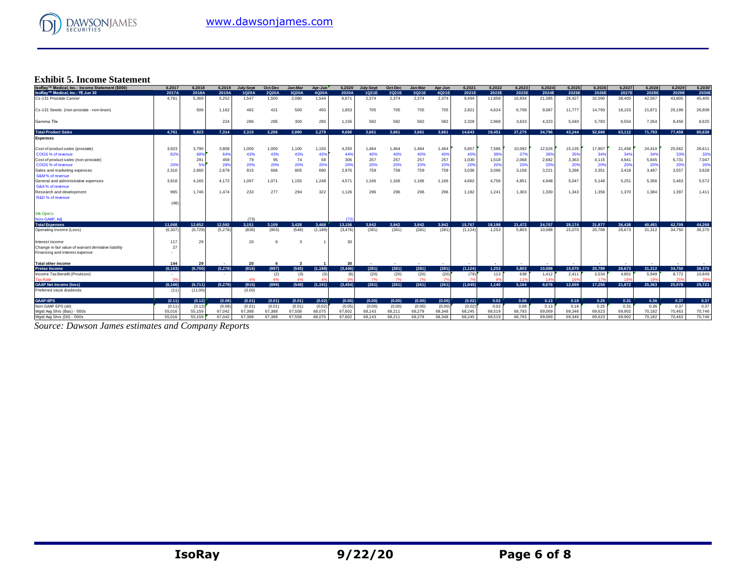

# **Exhibit 5. Income Statement**

| IsoRay™ Medical, Inc.: Income Statement (\$000)      | 6.2017   | 6.2018  | 6.2019  | <b>July-Sept</b> | Oct-Dec | Jan-Mar      | Apr-Jun  | 6.2020   | <b>July-Sept</b> | Oct-Dec | <b>Jan-Mar</b> | Apr-Jun | 6.2021   | 6.2022 | 6.2023 | 6.2024          | 6.2025 | 6.2026 | 6.2027 | 6.2028 | 6.2029 | 6.2030 |
|------------------------------------------------------|----------|---------|---------|------------------|---------|--------------|----------|----------|------------------|---------|----------------|---------|----------|--------|--------|-----------------|--------|--------|--------|--------|--------|--------|
| IsoRay™ Medical, Inc.: YE Jun 30                     | 2017A    | 2018A   | 2019A   | 1Q20A            | 2Q20A   | 3Q20A        | 4Q20A    | 2020A    | 1021E            | 2Q21E   | 3Q21E          | 4Q21E   | 2021E    | 2022E  | 2023E  | 2024E           | 2025E  | 2026E  | 2027E  | 2028E  | 2029E  | 2030E  |
| Cs-131 Prostate Cancer                               | 4.761    | 5.369   | 5.252   | 1.547            | 1.500   | 2,080        | 1.544    | 6,671    | 2.374            | 2.374   | 2.374          | 2,374   | 9.494    | 11.858 | 16,934 | 21,385          | 26,427 | 32,090 | 38.405 | 42,567 | 43.805 | 45,405 |
| Cs-131 Seeds (non-prostate - non-brain)              |          | 506     | 1,162   | 482              | 421     | 500          | 450      | 1,853    | 705              | 705     | 705            | 705     | 2,821    | 4,624  | 6,708  | 9,087           | 11,777 | 14,793 | 18,153 | 21,87  | 25,199 | 26,608 |
| Gamma Tile                                           |          |         | 224     | 286              | 285     | 300          | 285      | 1,156    | 582              | 582     | 582            | 582     | 2,328    | 2,968  | 3,633  | 4,323           | 5,040  | 5.783  | 6,554  | 7,354  | 8.456  | 8,625  |
| <b>Total Product Sales</b>                           | 4.761    | 5.923   | 7.314   | 2.315            | 2.206   | 2.880        | 2.279    | 9.680    | 3.661            | 3.661   | 3.661          | 3.661   | 14.643   | 19,451 | 27.275 | 34,796          | 43.244 | 52.666 | 63.112 | 71.793 | 77.459 | 80.638 |
| <b>Expenses</b>                                      |          |         |         |                  |         |              |          |          |                  |         |                |         |          |        |        |                 |        |        |        |        |        |        |
| Cost of product sales (prostate)                     | 3.923    | 3.790   | 3,808   | 1,000            | 1,000   | 1,100        | 1,150    | 4,250    | 1,464            | 1,464   | 1,464          | 1,464   | 5,857    | 7,586  | 10,092 | 12,526          | 15,135 | 17,907 | 21.458 | 24,410 | 25,562 | 26,611 |
| COGS % of revenue                                    | 82%      | 68%     | 64%     | 43%              | 43%     | 43%          | 439      | 44%      | 40%              | 40%     | 40%            | 40%     | 40%      | 399    | 379    | 36%             | 35%    | 34%    | 34%    | 349    | 33%    | 33%    |
| Cost of product sales (non-prostate)                 |          | 291     | 459     | 79               | 95      | 74           | 58       | 306      | 257              | 257     | 257            | 257     | 1,030    | 1,518  | 2,068  | 2,682           | 3,363  | 4,115  | 4,941  | 5,845  | 6,731  | 7,047  |
| COGS % of revenue                                    | 209      | 5%      | 28%     | 20%              | 20%     | 20%          | 20%      | 20%      | 20%              | 20%     | 20%            | 20%     | 20%      | 20%    | 20%    | 20%             | 20%    | 20%    | 20%    | 20%    | 20%    | 20%    |
| Sales and marketing expenses                         | 2,310    | 2,660   | 2,679   | 815              | 666     | 805          | 690      | 2,976    | 759              | 759     | 759            | 759     | 3,036    | 3,096  | 3,158  | 3,221           | 3,286  | 3,351  | 3,418  | 3.487  | 3,557  | 3,628  |
| S&M% of revenue                                      |          |         |         |                  |         |              |          |          |                  |         |                |         |          |        |        |                 |        |        |        |        |        |        |
| General and administrative expenses                  | 3.918    | 4.165   | 4.172   | 1,097            | 1,071   | 1,155        | 1,248    | 4,571    | 1,166            | 1,166   | 1,166          | 1.166   | 4,662    | 4,756  | 4,851  | 4,948           | 5,047  | 5.148  | 5,251  | 5,356  | 5.463  | 5,572  |
| G&A% of revenue                                      |          |         |         |                  |         |              |          |          |                  |         |                |         |          |        |        |                 |        |        |        |        |        |        |
| Research and development                             | 965      | 1.746   | 1,474   | 233              | 277     | 294          | 322      | 1,126    | 296              | 296     | 296            | 296     | 1.182    | 1,241  | 1,303  | 1,330           | 1,343  | 1.356  | 1.370  | 1,384  | 1,397  | 1,411  |
| R&D % of revenue                                     |          |         |         |                  |         |              |          |          |                  |         |                |         |          |        |        |                 |        |        |        |        |        |        |
|                                                      | (48)     |         |         |                  |         |              |          |          |                  |         |                |         |          |        |        |                 |        |        |        |        |        |        |
| <b>Stk Optn's</b>                                    |          |         |         |                  |         |              |          |          |                  |         |                |         |          |        |        |                 |        |        |        |        |        |        |
| Non-GAAP, Adi                                        |          |         |         | (73)             |         |              |          | (73)     |                  |         |                |         |          |        |        |                 |        |        |        |        |        |        |
| <b>Total Expenses</b>                                | 11.068   | 12.652  | 12.592  | 3.151            | 3.109   | 3.428        | 3.468    | 13.156   | 3.942            | 3.942   | 3.942          | 3.942   | 15.767   | 18.198 | 21,472 | 24,707          | 28.174 | 31.877 | 36,438 | 40.481 | 42.709 | 44.268 |
| Operating income (Loss)                              | (6, 307) | (6.729) | (5,278) | (836)            | (903)   | (548)        | (1, 189) | (3, 476) | (281)            | (281)   | (281)          | (281)   | (1, 124) | 1,253  | 5.803  | 10.088          | 15.070 | 20.789 | 26.673 | 31,312 | 34,750 | 36,370 |
| Interest income                                      | 117      | 29      |         | 20               | 6       |              |          | 30       |                  |         |                |         |          |        |        |                 |        |        |        |        |        |        |
| Change in fair value of warrant derivative liability | 27       |         |         |                  |         |              |          |          |                  |         |                |         |          |        |        |                 |        |        |        |        |        |        |
| Financing and interest expense                       |          |         |         |                  |         |              |          |          |                  |         |                |         |          |        |        |                 |        |        |        |        |        |        |
| <b>Total other income</b>                            | 144      | 29      |         | 20               | -6      | $\mathbf{3}$ |          | 30       |                  |         |                |         |          |        |        |                 |        |        |        |        |        |        |
| <b>Pretax Income</b>                                 | (6.163)  | (6.700) | (5.278) | (816)            | (897)   | (545)        | (1.188)  | (3, 446) | (281)            | (281)   | (281)          | (281)   | (1.124)  | 1.253  | 5,803  | 10.088          | 15.070 | 20.789 | 26.673 | 31.312 | 34.750 | 36,370 |
| Income Tax Benefit (Provision)                       |          |         |         |                  | (2)     | (3)          | (3)      |          | (20)             | (20)    | (20)           | (20)    | (79)     | 113    | 638    | 1,412           | 2,411  | 3,534  | 4.801  | 5.949  | 8.772  | 10,649 |
| <b>Tax Rate</b>                                      |          |         |         | 4%               | 4%      | 4%           |          |          | 7%               | 7%      | 7%             |         |          |        |        | 14 <sup>°</sup> | 16     | 179    |        |        | 25%    | 29%    |
| <b>GAAP Net Income (loss)</b>                        | (6.166)  | (6,711) | (5,278) | (816)            | (899)   | (548)        | (1, 191) | (3, 454) | (261)            | (261)   | (261)          | (261)   | (1,045)  | 1.140  | 5,164  | 8.676           | 12.659 | 17.255 | 21.872 | 25,363 | 25,978 | 25.721 |
| Preferred stock dividends                            | (11)     | (11.00) |         | (3.00)           |         |              |          |          |                  |         |                |         |          |        |        |                 |        |        |        |        |        |        |
| <b>GAAP-EPS</b>                                      | (0.11)   | (0.12)  | (0.08)  | (0.01)           | (0.01)  | (0.01)       | (0.02)   | (0.05)   | (0.00)           | (0.00)  | (0.00)         | (0.00)  | (0.02)   | 0.02   | 0.08   | 0.13            | 0.18   | 0.25   | 0.31   | 0.36   | 0.37   | 0.37   |
| Non GAAP EPS (dil)                                   | (0.11)   | (0.12)  | (0.08)  | (0.01)           | (0.01)  | (0.01)       | (0.02)   | (0.05)   | (0.00)           | (0.00)  | (0.00)         | (0.00)  | (0.02)   | 0.02   | 0.08   | 0.13            | 0.18   | 0.25   | 0.31   | 0.36   | 0.37   | 0.37   |
| Wotd Ava Shrs (Bas) - '000s                          | 55.016   | 55.159  | 67.042  | 67.388           | 67.388  | 67.558       | 68.075   | 67.602   | 68.143           | 68.211  | 68.279         | 68.348  | 68.245   | 68,519 | 68.793 | 69.069          | 69.346 | 69.623 | 69.902 | 70.182 | 70.463 | 70.746 |
| Wgtd Avg Shrs (Dil) - '000s                          | 55,016   | 55.159  | 67.042  | 67.388           | 67.388  | 67.558       | 68,075   | 67.602   | 68.143           | 68.211  | 68,279         | 68,348  | 68.245   | 68,519 | 68,793 | 69.069          | 69.346 | 69.623 | 69,902 | 70.182 | 70.463 | 70.746 |

*Source: Dawson James estimates and Company Reports*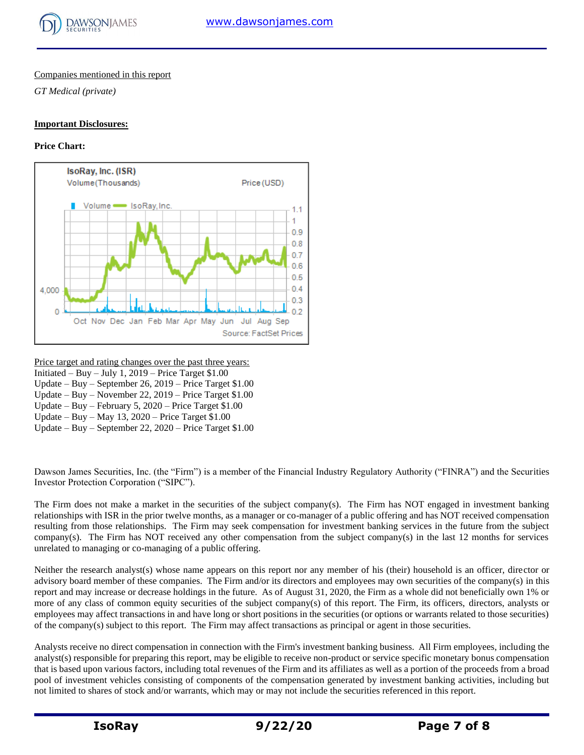

#### Companies mentioned in this report

*GT Medical (private)*

#### **Important Disclosures:**

# **Price Chart:**



Price target and rating changes over the past three years:

- Initiated Buy July 1, 2019 Price Target  $$1.00$
- Update Buy September 26, 2019 Price Target \$1.00 Update – Buy – November 22, 2019 – Price Target \$1.00
- Update Buy February 5, 2020 Price Target \$1.00
- Update Buy May 13, 2020 Price Target \$1.00
- Update Buy September 22, 2020 Price Target \$1.00

Dawson James Securities, Inc. (the "Firm") is a member of the Financial Industry Regulatory Authority ("FINRA") and the Securities Investor Protection Corporation ("SIPC").

The Firm does not make a market in the securities of the subject company(s). The Firm has NOT engaged in investment banking relationships with ISR in the prior twelve months, as a manager or co-manager of a public offering and has NOT received compensation resulting from those relationships. The Firm may seek compensation for investment banking services in the future from the subject company(s). The Firm has NOT received any other compensation from the subject company(s) in the last 12 months for services unrelated to managing or co-managing of a public offering.

Neither the research analyst(s) whose name appears on this report nor any member of his (their) household is an officer, director or advisory board member of these companies. The Firm and/or its directors and employees may own securities of the company(s) in this report and may increase or decrease holdings in the future. As of August 31, 2020, the Firm as a whole did not beneficially own 1% or more of any class of common equity securities of the subject company(s) of this report. The Firm, its officers, directors, analysts or employees may affect transactions in and have long or short positions in the securities (or options or warrants related to those securities) of the company(s) subject to this report. The Firm may affect transactions as principal or agent in those securities.

Analysts receive no direct compensation in connection with the Firm's investment banking business. All Firm employees, including the analyst(s) responsible for preparing this report, may be eligible to receive non-product or service specific monetary bonus compensation that is based upon various factors, including total revenues of the Firm and its affiliates as well as a portion of the proceeds from a broad pool of investment vehicles consisting of components of the compensation generated by investment banking activities, including but not limited to shares of stock and/or warrants, which may or may not include the securities referenced in this report.